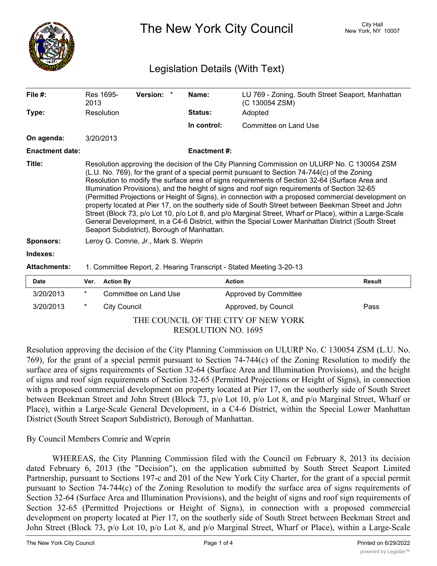

The New York City Council New York, NY 10007

# Legislation Details (With Text)

| File $#$ :             | 2013                                                                                                                                                                                                                                                                                                                                                                                                                                                                                                                                                                                                                                                                                                                                                                                                                                                                         | Res 1695-           | Version: *            | Name:               | LU 769 - Zoning, South Street Seaport, Manhattan<br>(C 130054 ZSM) |        |
|------------------------|------------------------------------------------------------------------------------------------------------------------------------------------------------------------------------------------------------------------------------------------------------------------------------------------------------------------------------------------------------------------------------------------------------------------------------------------------------------------------------------------------------------------------------------------------------------------------------------------------------------------------------------------------------------------------------------------------------------------------------------------------------------------------------------------------------------------------------------------------------------------------|---------------------|-----------------------|---------------------|--------------------------------------------------------------------|--------|
| Type:                  |                                                                                                                                                                                                                                                                                                                                                                                                                                                                                                                                                                                                                                                                                                                                                                                                                                                                              | Resolution          |                       | Status:             | Adopted                                                            |        |
|                        |                                                                                                                                                                                                                                                                                                                                                                                                                                                                                                                                                                                                                                                                                                                                                                                                                                                                              |                     |                       | In control:         | Committee on Land Use                                              |        |
| On agenda:             |                                                                                                                                                                                                                                                                                                                                                                                                                                                                                                                                                                                                                                                                                                                                                                                                                                                                              | 3/20/2013           |                       |                     |                                                                    |        |
| <b>Enactment date:</b> |                                                                                                                                                                                                                                                                                                                                                                                                                                                                                                                                                                                                                                                                                                                                                                                                                                                                              |                     |                       | <b>Enactment #:</b> |                                                                    |        |
| Title:                 | Resolution approving the decision of the City Planning Commission on ULURP No. C 130054 ZSM<br>(L.U. No. 769), for the grant of a special permit pursuant to Section 74-744(c) of the Zoning<br>Resolution to modify the surface area of signs requirements of Section 32-64 (Surface Area and<br>Illumination Provisions), and the height of signs and roof sign requirements of Section 32-65<br>(Permitted Projections or Height of Signs), in connection with a proposed commercial development on<br>property located at Pier 17, on the southerly side of South Street between Beekman Street and John<br>Street (Block 73, p/o Lot 10, p/o Lot 8, and p/o Marginal Street, Wharf or Place), within a Large-Scale<br>General Development, in a C4-6 District, within the Special Lower Manhattan District (South Street<br>Seaport Subdistrict), Borough of Manhattan. |                     |                       |                     |                                                                    |        |
| <b>Sponsors:</b>       | Leroy G. Comrie, Jr., Mark S. Weprin                                                                                                                                                                                                                                                                                                                                                                                                                                                                                                                                                                                                                                                                                                                                                                                                                                         |                     |                       |                     |                                                                    |        |
| Indexes:               |                                                                                                                                                                                                                                                                                                                                                                                                                                                                                                                                                                                                                                                                                                                                                                                                                                                                              |                     |                       |                     |                                                                    |        |
| <b>Attachments:</b>    | 1. Committee Report, 2. Hearing Transcript - Stated Meeting 3-20-13                                                                                                                                                                                                                                                                                                                                                                                                                                                                                                                                                                                                                                                                                                                                                                                                          |                     |                       |                     |                                                                    |        |
| Date                   | Ver.                                                                                                                                                                                                                                                                                                                                                                                                                                                                                                                                                                                                                                                                                                                                                                                                                                                                         | <b>Action By</b>    |                       |                     | <b>Action</b>                                                      | Result |
| 3/20/2013              | *                                                                                                                                                                                                                                                                                                                                                                                                                                                                                                                                                                                                                                                                                                                                                                                                                                                                            |                     | Committee on Land Use |                     | Approved by Committee                                              |        |
| 3/20/2013              | *                                                                                                                                                                                                                                                                                                                                                                                                                                                                                                                                                                                                                                                                                                                                                                                                                                                                            | <b>City Council</b> |                       |                     | Approved, by Council                                               | Pass   |
|                        |                                                                                                                                                                                                                                                                                                                                                                                                                                                                                                                                                                                                                                                                                                                                                                                                                                                                              |                     |                       |                     |                                                                    |        |

### THE COUNCIL OF THE CITY OF NEW YORK RESOLUTION NO. 1695

Resolution approving the decision of the City Planning Commission on ULURP No. C 130054 ZSM (L.U. No. 769), for the grant of a special permit pursuant to Section 74-744(c) of the Zoning Resolution to modify the surface area of signs requirements of Section 32-64 (Surface Area and Illumination Provisions), and the height of signs and roof sign requirements of Section 32-65 (Permitted Projections or Height of Signs), in connection with a proposed commercial development on property located at Pier 17, on the southerly side of South Street between Beekman Street and John Street (Block 73, p/o Lot 10, p/o Lot 8, and p/o Marginal Street, Wharf or Place), within a Large-Scale General Development, in a C4-6 District, within the Special Lower Manhattan District (South Street Seaport Subdistrict), Borough of Manhattan.

## By Council Members Comrie and Weprin

WHEREAS, the City Planning Commission filed with the Council on February 8, 2013 its decision dated February 6, 2013 (the "Decision"), on the application submitted by South Street Seaport Limited Partnership, pursuant to Sections 197-c and 201 of the New York City Charter, for the grant of a special permit pursuant to Section 74-744(c) of the Zoning Resolution to modify the surface area of signs requirements of Section 32-64 (Surface Area and Illumination Provisions), and the height of signs and roof sign requirements of Section 32-65 (Permitted Projections or Height of Signs), in connection with a proposed commercial development on property located at Pier 17, on the southerly side of South Street between Beekman Street and John Street (Block 73, p/o Lot 10, p/o Lot 8, and p/o Marginal Street, Wharf or Place), within a Large-Scale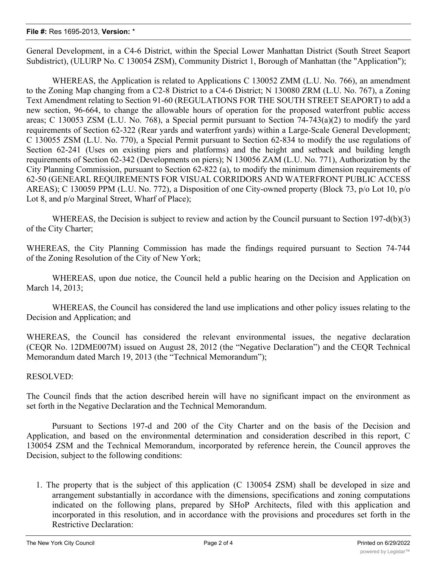#### **File #:** Res 1695-2013, **Version:** \*

General Development, in a C4-6 District, within the Special Lower Manhattan District (South Street Seaport Subdistrict), (ULURP No. C 130054 ZSM), Community District 1, Borough of Manhattan (the "Application");

WHEREAS, the Application is related to Applications C 130052 ZMM (L.U. No. 766), an amendment to the Zoning Map changing from a C2-8 District to a C4-6 District; N 130080 ZRM (L.U. No. 767), a Zoning Text Amendment relating to Section 91-60 (REGULATIONS FOR THE SOUTH STREET SEAPORT) to add a new section, 96-664, to change the allowable hours of operation for the proposed waterfront public access areas; C 130053 ZSM (L.U. No. 768), a Special permit pursuant to Section 74-743(a)(2) to modify the yard requirements of Section 62-322 (Rear yards and waterfront yards) within a Large-Scale General Development; C 130055 ZSM (L.U. No. 770), a Special Permit pursuant to Section 62-834 to modify the use regulations of Section 62-241 (Uses on existing piers and platforms) and the height and setback and building length requirements of Section 62-342 (Developments on piers); N 130056 ZAM (L.U. No. 771), Authorization by the City Planning Commission, pursuant to Section 62-822 (a), to modify the minimum dimension requirements of 62-50 (GENEARL REQUIREMENTS FOR VISUAL CORRIDORS AND WATERFRONT PUBLIC ACCESS AREAS); C 130059 PPM (L.U. No. 772), a Disposition of one City-owned property (Block 73, p/o Lot 10, p/o Lot 8, and  $p$ /o Marginal Street, Wharf of Place);

WHEREAS, the Decision is subject to review and action by the Council pursuant to Section 197-d(b)(3) of the City Charter;

WHEREAS, the City Planning Commission has made the findings required pursuant to Section 74-744 of the Zoning Resolution of the City of New York;

WHEREAS, upon due notice, the Council held a public hearing on the Decision and Application on March 14, 2013;

WHEREAS, the Council has considered the land use implications and other policy issues relating to the Decision and Application; and

WHEREAS, the Council has considered the relevant environmental issues, the negative declaration (CEQR No. 12DME007M) issued on August 28, 2012 (the "Negative Declaration") and the CEQR Technical Memorandum dated March 19, 2013 (the "Technical Memorandum");

### RESOLVED:

The Council finds that the action described herein will have no significant impact on the environment as set forth in the Negative Declaration and the Technical Memorandum.

Pursuant to Sections 197-d and 200 of the City Charter and on the basis of the Decision and Application, and based on the environmental determination and consideration described in this report, C 130054 ZSM and the Technical Memorandum, incorporated by reference herein, the Council approves the Decision, subject to the following conditions:

1. The property that is the subject of this application (C 130054 ZSM) shall be developed in size and arrangement substantially in accordance with the dimensions, specifications and zoning computations indicated on the following plans, prepared by SHoP Architects, filed with this application and incorporated in this resolution, and in accordance with the provisions and procedures set forth in the Restrictive Declaration: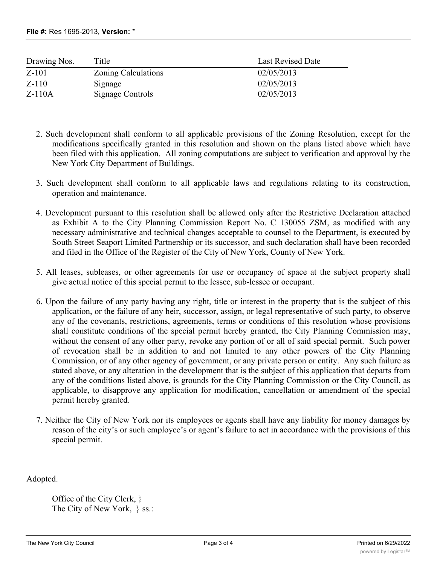**File #:** Res 1695-2013, **Version:** \*

| Drawing Nos. | Title               | Last Revised Date |
|--------------|---------------------|-------------------|
| $Z-101$      | Zoning Calculations | 02/05/2013        |
| $Z-110$      | Signage             | 02/05/2013        |
| $Z-110A$     | Signage Controls    | 02/05/2013        |

- 2. Such development shall conform to all applicable provisions of the Zoning Resolution, except for the modifications specifically granted in this resolution and shown on the plans listed above which have been filed with this application. All zoning computations are subject to verification and approval by the New York City Department of Buildings.
- 3. Such development shall conform to all applicable laws and regulations relating to its construction, operation and maintenance.
- 4. Development pursuant to this resolution shall be allowed only after the Restrictive Declaration attached as Exhibit A to the City Planning Commission Report No. C 130055 ZSM, as modified with any necessary administrative and technical changes acceptable to counsel to the Department, is executed by South Street Seaport Limited Partnership or its successor, and such declaration shall have been recorded and filed in the Office of the Register of the City of New York, County of New York.
- 5. All leases, subleases, or other agreements for use or occupancy of space at the subject property shall give actual notice of this special permit to the lessee, sub-lessee or occupant.
- 6. Upon the failure of any party having any right, title or interest in the property that is the subject of this application, or the failure of any heir, successor, assign, or legal representative of such party, to observe any of the covenants, restrictions, agreements, terms or conditions of this resolution whose provisions shall constitute conditions of the special permit hereby granted, the City Planning Commission may, without the consent of any other party, revoke any portion of or all of said special permit. Such power of revocation shall be in addition to and not limited to any other powers of the City Planning Commission, or of any other agency of government, or any private person or entity. Any such failure as stated above, or any alteration in the development that is the subject of this application that departs from any of the conditions listed above, is grounds for the City Planning Commission or the City Council, as applicable, to disapprove any application for modification, cancellation or amendment of the special permit hereby granted.
- 7. Neither the City of New York nor its employees or agents shall have any liability for money damages by reason of the city's or such employee's or agent's failure to act in accordance with the provisions of this special permit.

Adopted.

Office of the City Clerk, } The City of New York, } ss.: